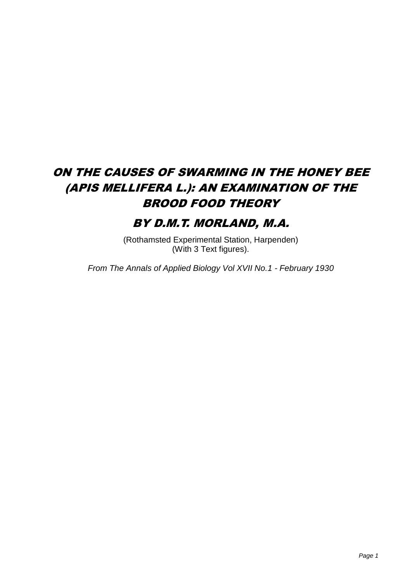# ON THE CAUSES OF SWARMING IN THE HONEY BEE (APIS MELLIFERA L.): AN EXAMINATION OF THE BROOD FOOD THEORY

# BY D.M.T. MORLAND, M.A.

(Rothamsted Experimental Station, Harpenden) (With 3 Text figures).

*From The Annals of Applied Biology Vol XVII No.1 - February 1930*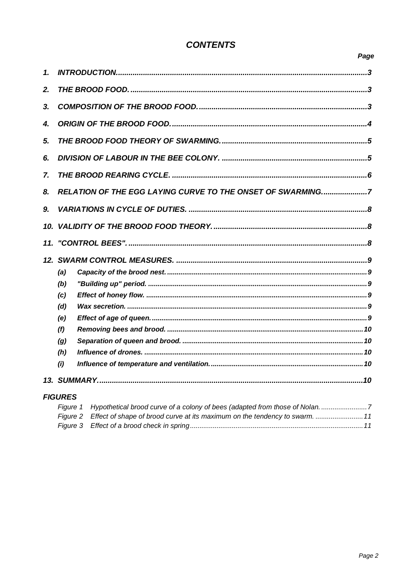# **CONTENTS**

| ×<br>×<br>v |
|-------------|
|-------------|

| 1.           |                                                            |  |  |  |  |
|--------------|------------------------------------------------------------|--|--|--|--|
| 2.           |                                                            |  |  |  |  |
| 3.           |                                                            |  |  |  |  |
| 4.           |                                                            |  |  |  |  |
| 5.           |                                                            |  |  |  |  |
| 6.           |                                                            |  |  |  |  |
| $\mathbf{z}$ |                                                            |  |  |  |  |
| 8.           | RELATION OF THE EGG LAYING CURVE TO THE ONSET OF SWARMING7 |  |  |  |  |
| 9.           |                                                            |  |  |  |  |
| 10.          |                                                            |  |  |  |  |
| 11.          |                                                            |  |  |  |  |
|              |                                                            |  |  |  |  |
|              |                                                            |  |  |  |  |
|              | (a)                                                        |  |  |  |  |
|              | (b)                                                        |  |  |  |  |
|              | (c)                                                        |  |  |  |  |
|              | (d)                                                        |  |  |  |  |
|              | (e)                                                        |  |  |  |  |
|              | (f)                                                        |  |  |  |  |
|              | (g)                                                        |  |  |  |  |
|              | (h)                                                        |  |  |  |  |
|              | (i)                                                        |  |  |  |  |
|              |                                                            |  |  |  |  |

| Figure 1 Hypothetical brood curve of a colony of bees (adapted from those of Nolan. 7 |
|---------------------------------------------------------------------------------------|
| Figure 2 Effect of shape of brood curve at its maximum on the tendency to swarm11     |
|                                                                                       |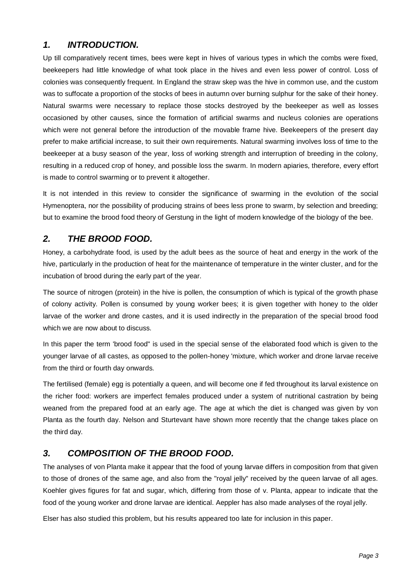# <span id="page-2-0"></span>*1. INTRODUCTION.*

Up till comparatively recent times, bees were kept in hives of various types in which the combs were fixed, beekeepers had little knowledge of what took place in the hives and even less power of control. Loss of colonies was consequently frequent. In England the straw skep was the hive in common use, and the custom was to suffocate a proportion of the stocks of bees in autumn over burning sulphur for the sake of their honey. Natural swarms were necessary to replace those stocks destroyed by the beekeeper as well as losses occasioned by other causes, since the formation of artificial swarms and nucleus colonies are operations which were not general before the introduction of the movable frame hive. Beekeepers of the present day prefer to make artificial increase, to suit their own requirements. Natural swarming involves loss of time to the beekeeper at a busy season of the year, loss of working strength and interruption of breeding in the colony, resulting in a reduced crop of honey, and possible loss the swarm. In modern apiaries, therefore, every effort is made to control swarming or to prevent it altogether.

It is not intended in this review to consider the significance of swarming in the evolution of the social Hymenoptera, nor the possibility of producing strains of bees less prone to swarm, by selection and breeding; but to examine the brood food theory of Gerstung in the light of modern knowledge of the biology of the bee.

# <span id="page-2-1"></span>*2. THE BROOD FOOD.*

Honey, a carbohydrate food, is used by the adult bees as the source of heat and energy in the work of the hive, particularly in the production of heat for the maintenance of temperature in the winter cluster, and for the incubation of brood during the early part of the year.

The source of nitrogen (protein) in the hive is pollen, the consumption of which is typical of the growth phase of colony activity. Pollen is consumed by young worker bees; it is given together with honey to the older larvae of the worker and drone castes, and it is used indirectly in the preparation of the special brood food which we are now about to discuss.

In this paper the term 'brood food" is used in the special sense of the elaborated food which is given to the younger larvae of all castes, as opposed to the pollen-honey 'mixture, which worker and drone larvae receive from the third or fourth day onwards.

The fertilised (female) egg is potentially a queen, and will become one if fed throughout its larval existence on the richer food: workers are imperfect females produced under a system of nutritional castration by being weaned from the prepared food at an early age. The age at which the diet is changed was given by von Planta as the fourth day. Nelson and Sturtevant have shown more recently that the change takes place on the third day.

# <span id="page-2-2"></span>*3. COMPOSITION OF THE BROOD FOOD.*

The analyses of von Planta make it appear that the food of young larvae differs in composition from that given to those of drones of the same age, and also from the "royal jelly" received by the queen larvae of all ages. Koehler gives figures for fat and sugar, which, differing from those of v. Planta, appear to indicate that the food of the young worker and drone larvae are identical. Aeppler has also made analyses of the royal jelly.

Elser has also studied this problem, but his results appeared too late for inclusion in this paper.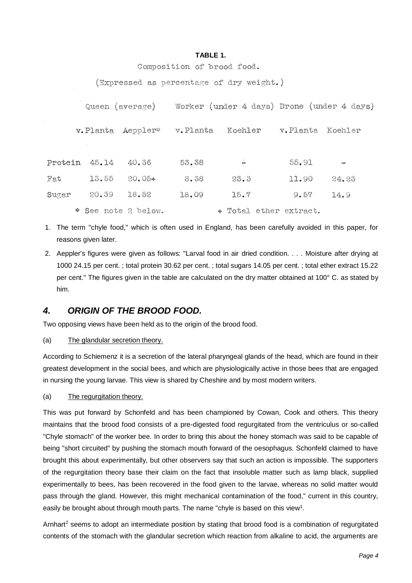#### **TABLE 1.**

Composition of brood food.

(Expressed as percentage of dry weight.)

|               | Queen (average)     |                   | Worker (under 4 days) Drone (under 4 days) |                        |                  |       |
|---------------|---------------------|-------------------|--------------------------------------------|------------------------|------------------|-------|
|               |                     | v.Planta Aeppler* | v.Planta Koehler                           |                        | v.Planta Koehler |       |
|               | Protein 45.14       | 40.36             | 53.38                                      | ÷                      | 55.91            |       |
| $_{\rm{Fat}}$ | 13.55               | $20.05+$          | 8.38                                       | 23.3                   | 11.90            | 24.23 |
| Sugar         | 20.39               | 18.52             | 18.09                                      | 15.7                   | 9.57             | 14.9  |
|               | * See note 2 below. |                   |                                            | + Total ether extract. |                  |       |

- 1. The term "chyle food," which is often used in England, has been carefully avoided in this paper, for reasons given later.
- 2. Aeppler's figures were given as follows: "Larval food in air dried condition. . . . Moisture after drying at 1000 24.15 per cent. ; total protein 30.62 per cent. ; total sugars 14.05 per cent. ; total ether extract 15.22 per cent." The figures given in the table are calculated on the dry matter obtained at 100° C. as stated by him.

## <span id="page-3-0"></span>*4. ORIGIN OF THE BROOD FOOD.*

Two opposing views have been held as to the origin of the brood food.

(a) The glandular secretion theory.

According to Schiemenz it is a secretion of the lateral pharyngeal glands of the head, which are found in their greatest development in the social bees, and which are physiologically active in those bees that are engaged in nursing the young larvae. This view is shared by Cheshire and by most modern writers.

(a) The regurgitation theory.

This was put forward by Schonfeld and has been championed by Cowan, Cook and others. This theory maintains that the brood food consists of a pre-digested food regurgitated from the ventriculus or so-called "Chyle stomach" of the worker bee. In order to bring this about the honey stomach was said to be capable of being "short circuited" by pushing the stomach mouth forward of the oesophagus. Schonfeld claimed to have brought this about experimentally, but other observers say that such an action is impossible. The supporters of the regurgitation theory base their claim on the fact that insoluble matter such as lamp black, supplied experimentally to bees, has been recovered in the food given to the larvae, whereas no solid matter would pass through the gland. However, this might mechanical contamination of the food," current in this country, easily be brought about through mouth parts. The name "chyle is based on this view<sup>1</sup>.

Arnhart<sup>2</sup> seems to adopt an intermediate position by stating that brood food is a combination of regurgitated contents of the stomach with the glandular secretion which reaction from alkaline to acid, the arguments are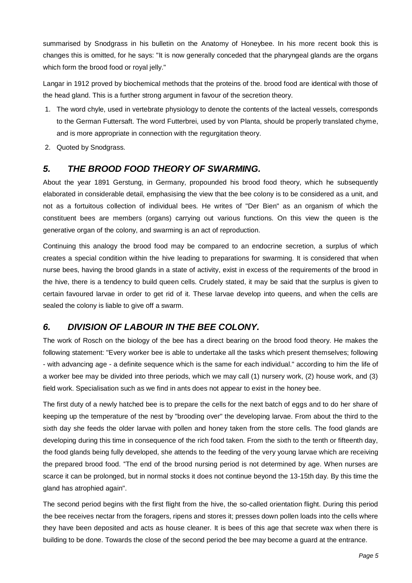summarised by Snodgrass in his bulletin on the Anatomy of Honeybee. In his more recent book this is changes this is omitted, for he says: "It is now generally conceded that the pharyngeal glands are the organs which form the brood food or royal jelly."

Langar in 1912 proved by biochemical methods that the proteins of the. brood food are identical with those of the head gland. This is a further strong argument in favour of the secretion theory.

- 1. The word chyle, used in vertebrate physiology to denote the contents of the lacteal vessels, corresponds to the German Futtersaft. The word Futterbrei, used by von Planta, should be properly translated chyme, and is more appropriate in connection with the regurgitation theory.
- 2. Quoted by Snodgrass.

## <span id="page-4-0"></span>*5. THE BROOD FOOD THEORY OF SWARMING.*

About the year 1891 Gerstung, in Germany, propounded his brood food theory, which he subsequently elaborated in considerable detail, emphasising the view that the bee colony is to be considered as a unit, and not as a fortuitous collection of individual bees. He writes of "Der Bien" as an organism of which the constituent bees are members (organs) carrying out various functions. On this view the queen is the generative organ of the colony, and swarming is an act of reproduction.

Continuing this analogy the brood food may be compared to an endocrine secretion, a surplus of which creates a special condition within the hive leading to preparations for swarming. It is considered that when nurse bees, having the brood glands in a state of activity, exist in excess of the requirements of the brood in the hive, there is a tendency to build queen cells. Crudely stated, it may be said that the surplus is given to certain favoured larvae in order to get rid of it. These larvae develop into queens, and when the cells are sealed the colony is liable to give off a swarm.

# <span id="page-4-1"></span>*6. DIVISION OF LABOUR IN THE BEE COLONY.*

The work of Rosch on the biology of the bee has a direct bearing on the brood food theory. He makes the following statement: "Every worker bee is able to undertake all the tasks which present themselves; following - with advancing age - a definite sequence which is the same for each individual." according to him the life of a worker bee may be divided into three periods, which we may call (1) nursery work, (2) house work, and (3) field work. Specialisation such as we find in ants does not appear to exist in the honey bee.

The first duty of a newly hatched bee is to prepare the cells for the next batch of eggs and to do her share of keeping up the temperature of the nest by "brooding over" the developing larvae. From about the third to the sixth day she feeds the older larvae with pollen and honey taken from the store cells. The food glands are developing during this time in consequence of the rich food taken. From the sixth to the tenth or fifteenth day, the food glands being fully developed, she attends to the feeding of the very young larvae which are receiving the prepared brood food. "The end of the brood nursing period is not determined by age. When nurses are scarce it can be prolonged, but in normal stocks it does not continue beyond the 13-15th day. By this time the gland has atrophied again".

The second period begins with the first flight from the hive, the so-called orientation flight. During this period the bee receives nectar from the foragers, ripens and stores it; presses down pollen loads into the cells where they have been deposited and acts as house cleaner. It is bees of this age that secrete wax when there is building to be done. Towards the close of the second period the bee may become a guard at the entrance.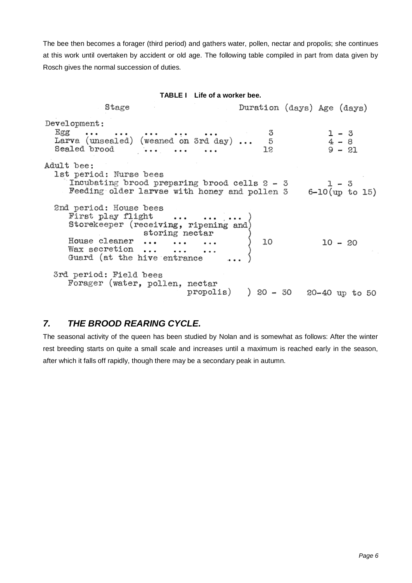The bee then becomes a forager (third period) and gathers water, pollen, nectar and propolis; she continues at this work until overtaken by accident or old age. The following table compiled in part from data given by Rosch gives the normal succession of duties.

#### **TABLE I Life of a worker bee.**

| Stage                                                                                                                                                                   |    | Duration (days) Age (days)         |
|-------------------------------------------------------------------------------------------------------------------------------------------------------------------------|----|------------------------------------|
| Development:<br>Egg       3<br>Larva (unsealed) (weaned on 3rd day)  5<br>Sealed brood    12                                                                            |    | $1 - 3$<br>$4 - 8$<br>$9 - 21$     |
| Adult bee:<br>1st period: Nurse bees<br>Incubating brood preparing brood cells $2 - 3$<br>Feeding older larvae with honey and pollen $3$ 6-10(up to 15)                 |    |                                    |
| 2nd period: House bees<br>First play flight<br>Storekeeper (receiving, ripening and)<br>Storing nectar<br>House cleaner<br>Wax secretion<br>Guard (at the hive entrance | 10 | $10 - 20$                          |
| 3rd period: Field bees<br>Forager (water, pollen, nectar                                                                                                                |    | propolis) ) 20 - 30 20-40 up to 50 |

## <span id="page-5-0"></span>*7. THE BROOD REARING CYCLE.*

The seasonal activity of the queen has been studied by Nolan and is somewhat as follows: After the winter rest breeding starts on quite a small scale and increases until a maximum is reached early in the season, after which it falls off rapidly, though there may be a secondary peak in autumn.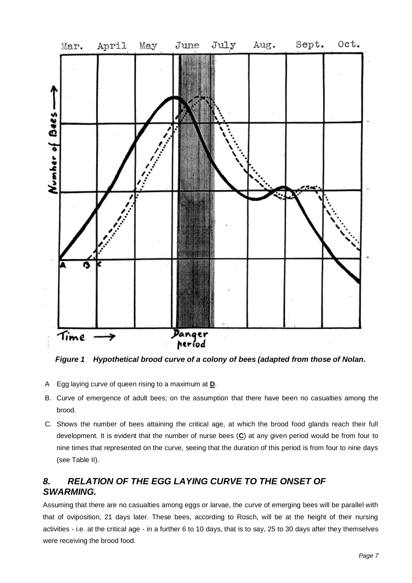

<span id="page-6-1"></span>*Figure 1 Hypothetical brood curve of a colony of bees (adapted from those of Nolan.*

- A Egg laying curve of queen rising to a maximum at **D**.
- B. Curve of emergence of adult bees; on the assumption that there have been no casualties among the brood.
- C. Shows the number of bees attaining the critical age, at which the brood food glands reach their full development. It is evident that the number of nurse bees (**C**) at any given period would be from four to nine times that represented on the curve, seeing that the duration of this period is from four to nine days (see Table II).

# <span id="page-6-0"></span>*8. RELATION OF THE EGG LAYING CURVE TO THE ONSET OF SWARMING.*

Assuming that there are no casualties among eggs or larvae, the curve of emerging bees will be parallel with that of oviposition, 21 days later. These bees, according to Rosch, will be at the height of their nursing activities - i.e. at the critical age - in a further 6 to 10 days, that is to say, 25 to 30 days after they themselves were receiving the brood food.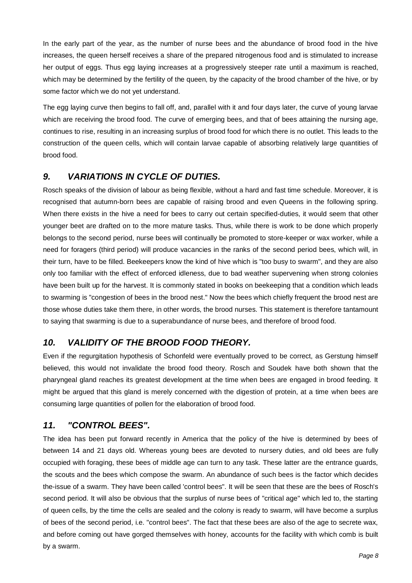In the early part of the year, as the number of nurse bees and the abundance of brood food in the hive increases, the queen herself receives a share of the prepared nitrogenous food and is stimulated to increase her output of eggs. Thus egg laying increases at a progressively steeper rate until a maximum is reached. which may be determined by the fertility of the queen, by the capacity of the brood chamber of the hive, or by some factor which we do not yet understand.

The egg laying curve then begins to fall off, and, parallel with it and four days later, the curve of young larvae which are receiving the brood food. The curve of emerging bees, and that of bees attaining the nursing age, continues to rise, resulting in an increasing surplus of brood food for which there is no outlet. This leads to the construction of the queen cells, which will contain larvae capable of absorbing relatively large quantities of brood food.

# <span id="page-7-0"></span>*9. VARIATIONS IN CYCLE OF DUTIES.*

Rosch speaks of the division of labour as being flexible, without a hard and fast time schedule. Moreover, it is recognised that autumn-born bees are capable of raising brood and even Queens in the following spring. When there exists in the hive a need for bees to carry out certain specified-duties, it would seem that other younger beet are drafted on to the more mature tasks. Thus, while there is work to be done which properly belongs to the second period, nurse bees will continually be promoted to store-keeper or wax worker, while a need for foragers (third period) will produce vacancies in the ranks of the second period bees, which will, in their turn, have to be filled. Beekeepers know the kind of hive which is "too busy to swarm", and they are also only too familiar with the effect of enforced idleness, due to bad weather supervening when strong colonies have been built up for the harvest. It is commonly stated in books on beekeeping that a condition which leads to swarming is "congestion of bees in the brood nest." Now the bees which chiefly frequent the brood nest are those whose duties take them there, in other words, the brood nurses. This statement is therefore tantamount to saying that swarming is due to a superabundance of nurse bees, and therefore of brood food.

# <span id="page-7-1"></span>*10. VALIDITY OF THE BROOD FOOD THEORY.*

Even if the regurgitation hypothesis of Schonfeld were eventually proved to be correct, as Gerstung himself believed, this would not invalidate the brood food theory. Rosch and Soudek have both shown that the pharyngeal gland reaches its greatest development at the time when bees are engaged in brood feeding. It might be argued that this gland is merely concerned with the digestion of protein, at a time when bees are consuming large quantities of pollen for the elaboration of brood food.

## <span id="page-7-2"></span>*11. "CONTROL BEES".*

The idea has been put forward recently in America that the policy of the hive is determined by bees of between 14 and 21 days old. Whereas young bees are devoted to nursery duties, and old bees are fully occupied with foraging, these bees of middle age can turn to any task. These latter are the entrance guards, the scouts and the bees which compose the swarm. An abundance of such bees is the factor which decides the-issue of a swarm. They have been called 'control bees". It will be seen that these are the bees of Rosch's second period. It will also be obvious that the surplus of nurse bees of "critical age" which led to, the starting of queen cells, by the time the cells are sealed and the colony is ready to swarm, will have become a surplus of bees of the second period, i.e. "control bees". The fact that these bees are also of the age to secrete wax, and before coming out have gorged themselves with honey, accounts for the facility with which comb is built by a swarm.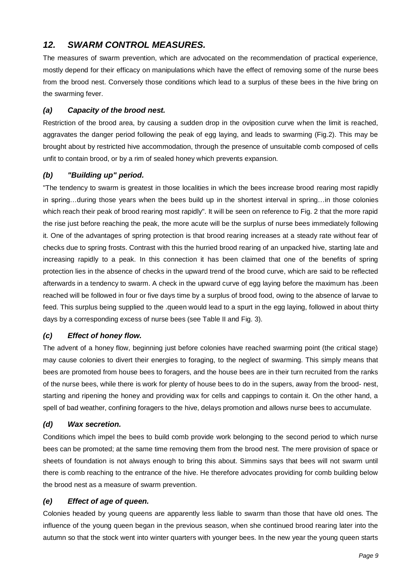# <span id="page-8-0"></span>*12. SWARM CONTROL MEASURES.*

The measures of swarm prevention, which are advocated on the recommendation of practical experience, mostly depend for their efficacy on manipulations which have the effect of removing some of the nurse bees from the brood nest. Conversely those conditions which lead to a surplus of these bees in the hive bring on the swarming fever.

### <span id="page-8-1"></span>*(a) Capacity of the brood nest.*

Restriction of the brood area, by causing a sudden drop in the oviposition curve when the limit is reached, aggravates the danger period following the peak of egg laying, and leads to swarming (Fig.2). This may be brought about by restricted hive accommodation, through the presence of unsuitable comb composed of cells unfit to contain brood, or by a rim of sealed honey which prevents expansion.

## <span id="page-8-2"></span>*(b) "Building up" period.*

"The tendency to swarm is greatest in those localities in which the bees increase brood rearing most rapidly in spring…during those years when the bees build up in the shortest interval in spring…in those colonies which reach their peak of brood rearing most rapidly". It will be seen on reference to Fig. 2 that the more rapid the rise just before reaching the peak, the more acute will be the surplus of nurse bees immediately following it. One of the advantages of spring protection is that brood rearing increases at a steady rate without fear of checks due to spring frosts. Contrast with this the hurried brood rearing of an unpacked hive, starting late and increasing rapidly to a peak. In this connection it has been claimed that one of the benefits of spring protection lies in the absence of checks in the upward trend of the brood curve, which are said to be reflected afterwards in a tendency to swarm. A check in the upward curve of egg laying before the maximum has .been reached will be followed in four or five days time by a surplus of brood food, owing to the absence of larvae to feed. This surplus being supplied to the .queen would lead to a spurt in the egg laying, followed in about thirty days by a corresponding excess of nurse bees (see Table II and Fig. 3).

## <span id="page-8-3"></span>*(c) Effect of honey flow.*

The advent of a honey flow, beginning just before colonies have reached swarming point (the critical stage) may cause colonies to divert their energies to foraging, to the neglect of swarming. This simply means that bees are promoted from house bees to foragers, and the house bees are in their turn recruited from the ranks of the nurse bees, while there is work for plenty of house bees to do in the supers, away from the brood- nest, starting and ripening the honey and providing wax for cells and cappings to contain it. On the other hand, a spell of bad weather, confining foragers to the hive, delays promotion and allows nurse bees to accumulate.

## <span id="page-8-4"></span>*(d) Wax secretion.*

Conditions which impel the bees to build comb provide work belonging to the second period to which nurse bees can be promoted; at the same time removing them from the brood nest. The mere provision of space or sheets of foundation is not always enough to bring this about. Simmins says that bees will not swarm until there is comb reaching to the entrance of the hive. He therefore advocates providing for comb building below the brood nest as a measure of swarm prevention.

## <span id="page-8-5"></span>*(e) Effect of age of queen.*

Colonies headed by young queens are apparently less liable to swarm than those that have old ones. The influence of the young queen began in the previous season, when she continued brood rearing later into the autumn so that the stock went into winter quarters with younger bees. In the new year the young queen starts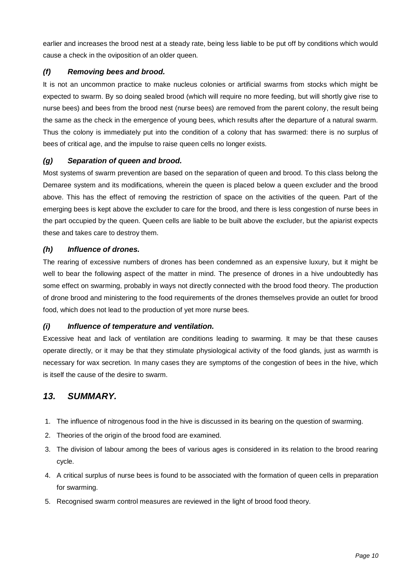earlier and increases the brood nest at a steady rate, being less liable to be put off by conditions which would cause a check in the oviposition of an older queen.

## <span id="page-9-0"></span>*(f) Removing bees and brood.*

It is not an uncommon practice to make nucleus colonies or artificial swarms from stocks which might be expected to swarm. By so doing sealed brood (which will require no more feeding, but will shortly give rise to nurse bees) and bees from the brood nest (nurse bees) are removed from the parent colony, the result being the same as the check in the emergence of young bees, which results after the departure of a natural swarm. Thus the colony is immediately put into the condition of a colony that has swarmed: there is no surplus of bees of critical age, and the impulse to raise queen cells no longer exists.

#### <span id="page-9-1"></span>*(g) Separation of queen and brood.*

Most systems of swarm prevention are based on the separation of queen and brood. To this class belong the Demaree system and its modifications, wherein the queen is placed below a queen excluder and the brood above. This has the effect of removing the restriction of space on the activities of the queen. Part of the emerging bees is kept above the excluder to care for the brood, and there is less congestion of nurse bees in the part occupied by the queen. Queen cells are liable to be built above the excluder, but the apiarist expects these and takes care to destroy them.

## <span id="page-9-2"></span>*(h) Influence of drones.*

The rearing of excessive numbers of drones has been condemned as an expensive luxury, but it might be well to bear the following aspect of the matter in mind. The presence of drones in a hive undoubtedly has some effect on swarming, probably in ways not directly connected with the brood food theory. The production of drone brood and ministering to the food requirements of the drones themselves provide an outlet for brood food, which does not lead to the production of yet more nurse bees.

#### <span id="page-9-3"></span>*(i) Influence of temperature and ventilation.*

Excessive heat and lack of ventilation are conditions leading to swarming. It may be that these causes operate directly, or it may be that they stimulate physiological activity of the food glands, just as warmth is necessary for wax secretion. In many cases they are symptoms of the congestion of bees in the hive, which is itself the cause of the desire to swarm.

## <span id="page-9-4"></span>*13. SUMMARY.*

- 1. The influence of nitrogenous food in the hive is discussed in its bearing on the question of swarming.
- 2. Theories of the origin of the brood food are examined.
- 3. The division of labour among the bees of various ages is considered in its relation to the brood rearing cycle.
- 4. A critical surplus of nurse bees is found to be associated with the formation of queen cells in preparation for swarming.
- 5. Recognised swarm control measures are reviewed in the light of brood food theory.